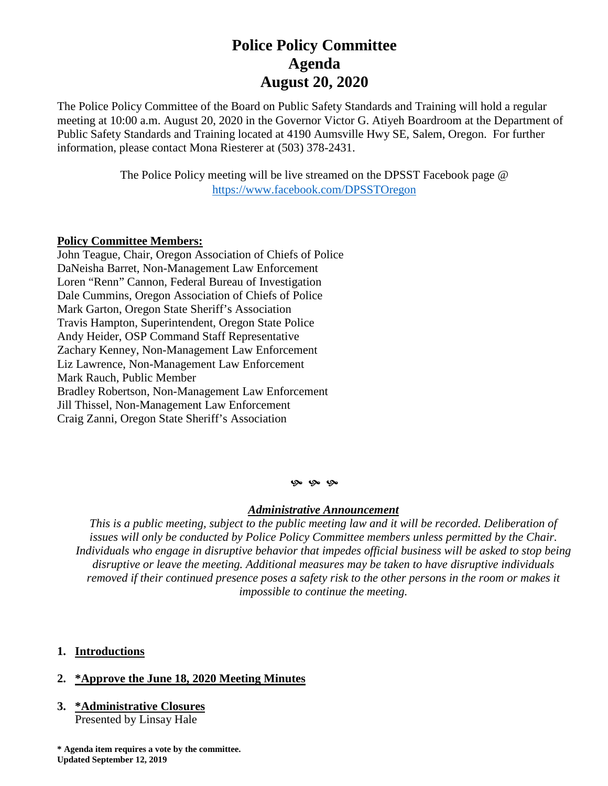# **Police Policy Committee Agenda August 20, 2020**

The Police Policy Committee of the Board on Public Safety Standards and Training will hold a regular meeting at 10:00 a.m. August 20, 2020 in the Governor Victor G. Atiyeh Boardroom at the Department of Public Safety Standards and Training located at 4190 Aumsville Hwy SE, Salem, Oregon. For further information, please contact Mona Riesterer at (503) 378-2431.

> The Police Policy meeting will be live streamed on the DPSST Facebook page @ <https://www.facebook.com/DPSSTOregon>

### **Policy Committee Members:**

John Teague, Chair, Oregon Association of Chiefs of Police DaNeisha Barret, Non-Management Law Enforcement Loren "Renn" Cannon, Federal Bureau of Investigation Dale Cummins, Oregon Association of Chiefs of Police Mark Garton, Oregon State Sheriff's Association Travis Hampton, Superintendent, Oregon State Police Andy Heider, OSP Command Staff Representative Zachary Kenney, Non-Management Law Enforcement Liz Lawrence, Non-Management Law Enforcement Mark Rauch, Public Member Bradley Robertson, Non-Management Law Enforcement Jill Thissel, Non-Management Law Enforcement Craig Zanni, Oregon State Sheriff's Association

#### $9.96$

#### *Administrative Announcement*

*This is a public meeting, subject to the public meeting law and it will be recorded. Deliberation of issues will only be conducted by Police Policy Committee members unless permitted by the Chair. Individuals who engage in disruptive behavior that impedes official business will be asked to stop being disruptive or leave the meeting. Additional measures may be taken to have disruptive individuals removed if their continued presence poses a safety risk to the other persons in the room or makes it impossible to continue the meeting.*

## **1. Introductions**

## **2. \*Approve the June 18, 2020 Meeting Minutes**

**3. \*Administrative Closures** Presented by Linsay Hale